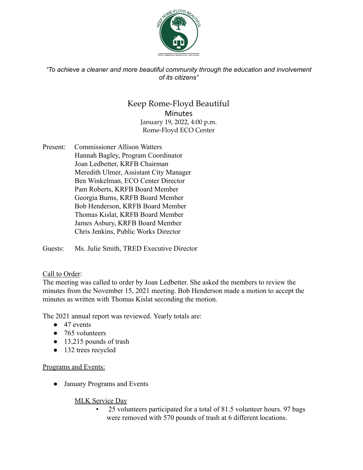

*"To achieve a cleaner and more beautiful community through the education and involvement of its citizens"*

# Keep Rome-Floyd Beautiful Minutes January 19, 2022, 4:00 p.m. Rome-Floyd ECO Center

Present: Commissioner Allison Watters Hannah Bagley, Program Coordinator Joan Ledbetter, KRFB Chairman Meredith Ulmer, Assistant City Manager Ben Winkelman, ECO Center Director Pam Roberts, KRFB Board Member Georgia Burns, KRFB Board Member Bob Henderson, KRFB Board Member Thomas Kislat, KRFB Board Member James Asbury, KRFB Board Member Chris Jenkins, Public Works Director

Guests: Ms. Julie Smith, TRED Executive Director

# Call to Order:

The meeting was called to order by Joan Ledbetter. She asked the members to review the minutes from the November 15, 2021 meeting. Bob Henderson made a motion to accept the minutes as written with Thomas Kislat seconding the motion.

The 2021 annual report was reviewed. Yearly totals are:

- 47 events
- 765 volunteers
- 13,215 pounds of trash
- 132 trees recycled

# Programs and Events:

● January Programs and Events

MLK Service Day

25 volunteers participated for a total of 81.5 volunteer hours. 97 bags were removed with 570 pounds of trash at 6 different locations.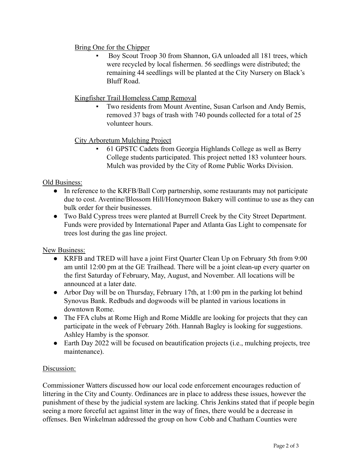# Bring One for the Chipper

Boy Scout Troop 30 from Shannon, GA unloaded all 181 trees, which were recycled by local fishermen. 56 seedlings were distributed; the remaining 44 seedlings will be planted at the City Nursery on Black's Bluff Road.

## Kingfisher Trail Homeless Camp Removal

Two residents from Mount Aventine, Susan Carlson and Andy Bemis, removed 37 bags of trash with 740 pounds collected for a total of 25 volunteer hours.

# City Arboretum Mulching Project

61 GPSTC Cadets from Georgia Highlands College as well as Berry College students participated. This project netted 183 volunteer hours. Mulch was provided by the City of Rome Public Works Division.

#### Old Business:

- In reference to the KRFB/Ball Corp partnership, some restaurants may not participate due to cost. Aventine/Blossom Hill/Honeymoon Bakery will continue to use as they can bulk order for their businesses.
- Two Bald Cypress trees were planted at Burrell Creek by the City Street Department. Funds were provided by International Paper and Atlanta Gas Light to compensate for trees lost during the gas line project.

# New Business:

- KRFB and TRED will have a joint First Quarter Clean Up on February 5th from 9:00 am until 12:00 pm at the GE Trailhead. There will be a joint clean-up every quarter on the first Saturday of February, May, August, and November. All locations will be announced at a later date.
- Arbor Day will be on Thursday, February 17th, at 1:00 pm in the parking lot behind Synovus Bank. Redbuds and dogwoods will be planted in various locations in downtown Rome.
- The FFA clubs at Rome High and Rome Middle are looking for projects that they can participate in the week of February 26th. Hannah Bagley is looking for suggestions. Ashley Hamby is the sponsor.
- Earth Day 2022 will be focused on beautification projects (i.e., mulching projects, tree maintenance).

#### Discussion:

Commissioner Watters discussed how our local code enforcement encourages reduction of littering in the City and County. Ordinances are in place to address these issues, however the punishment of these by the judicial system are lacking. Chris Jenkins stated that if people begin seeing a more forceful act against litter in the way of fines, there would be a decrease in offenses. Ben Winkelman addressed the group on how Cobb and Chatham Counties were